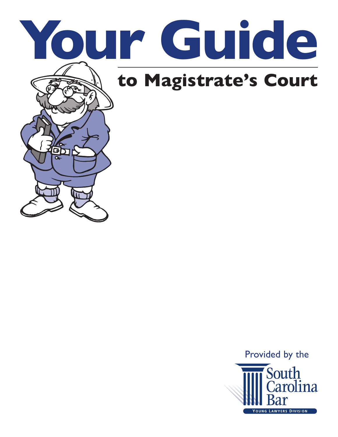

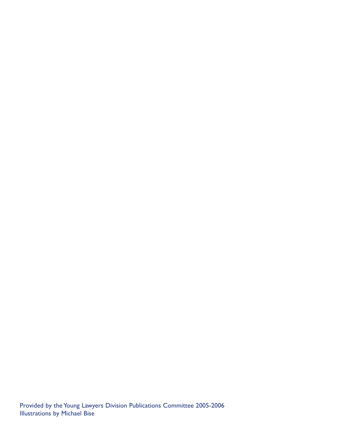Provided by the Young Lawyers Division Publications Committee 2005-2006 Illustrations by Michael Bise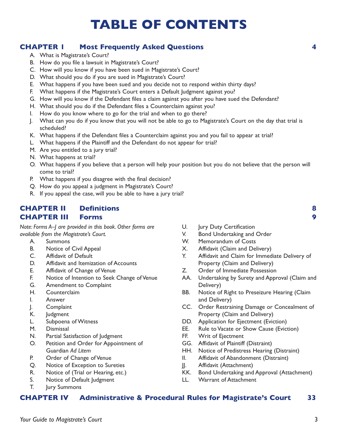# **TABLE OF CONTENTS**

### **CHAPTER 1 Most Frequently Asked Questions 4**

- A. What is Magistrate's Court?
- B. How do you file a lawsuit in Magistrate's Court?
- C. How will you know if you have been sued in Magistrate's Court?
- D. What should you do if you are sued in Magistrate's Court?
- E. What happens if you have been sued and you decide not to respond within thirty days?
- F. What happens if the Magistrate's Court enters a Default Judgment against you?
- G. How will you know if the Defendant files a claim against you after you have sued the Defendant?
- H. What should you do if the Defendant files a Counterclaim against you?
- I. How do you know where to go for the trial and when to go there?
- J. What can you do if you know that you will not be able to go to Magistrate's Court on the day that trial is scheduled?
- K. What happens if the Defendant files a Counterclaim against you and you fail to appear at trial?
- L. What happens if the Plaintiff and the Defendant do not appear for trial?
- M. Are you entitled to a jury trial?
- N. What happens at trial?
- O. What happens if you believe that a person will help your position but you do not believe that the person will come to trial?
- P. What happens if you disagree with the final decision?
- Q. How do you appeal a judgment in Magistrate's Court?
- R. If you appeal the case, will you be able to have a jury trial?

#### **CHAPTER II Definitions 8 CHAPTER III Forms 9**

*Note: Forms A–J are provided in this book. Other forms are available from the Magistrate's Court.*

- A. Summons
- B. Notice of Civil Appeal
- C. Affidavit of Default
- D. Affidavit and Itemization of Accounts
- E. Affidavit of Change of Venue
- F. Notice of Intention to Seek Change of Venue
- G. Amendment to Complaint
- H. Counterclaim
- I. Answer
- J. Complaint
- K. Judgment
- L. Subpoena of Witness
- M. Dismissal
- N. Partial Satisfaction of Judgment
- O. Petition and Order for Appointment of Guardian *Ad Litem*
- P. Order of Change of Venue
- Q. Notice of Exception to Sureties
- R. Notice of (Trial or Hearing, etc.)
- S. Notice of Default Judgment
- T. Jury Summons
- U. Jury Duty Certification
- V. Bond Undertaking and Order
- W. Memorandum of Costs
- X. Affidavit (Claim and Delivery)
- Y. Affidavit and Claim for Immediate Delivery of Property (Claim and Delivery)
- Z. Order of Immediate Possession
- AA. Undertaking by Surety and Approval (Claim and Delivery)
- BB. Notice of Right to Preseizure Hearing (Claim and Delivery)
- CC. Order Restraining Damage or Concealment of Property (Claim and Delivery)
- DD. Application for Ejectment (Eviction)
- EE. Rule to Vacate or Show Cause (Eviction)
- FF. Writ of Ejectment
- GG. Affidavit of Plaintiff (Distraint)
- HH. Notice of Predistress Hearing (Distraint)
- II. Affidavit of Abandonment (Distraint)
- JJ. Affidavit (Attachment)
- KK. Bond Undertaking and Approval (Attachment)
- LL. Warrant of Attachment

#### **CHAPTER IV Administrative & Procedural Rules for Magistrate's Court 33**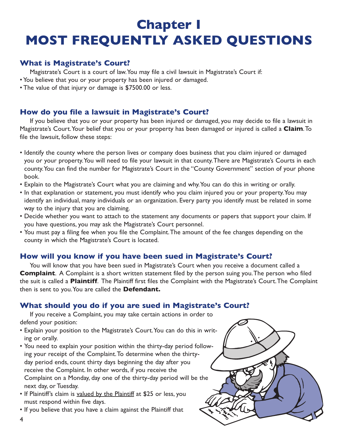# **Chapter I MOST FREQUENTLY ASKED QUESTIONS**

### **What is Magistrate's Court?**

Magistrate's Court is a court of law.You may file a civil lawsuit in Magistrate's Court if:

- You believe that you or your property has been injured or damaged.
- The value of that injury or damage is \$7500.00 or less.

## **How do you file a lawsuit in Magistrate's Court?**

If you believe that you or your property has been injured or damaged, you may decide to file a lawsuit in Magistrate's Court.Your belief that you or your property has been damaged or injured is called a **Claim**.To file the lawsuit, follow these steps:

- Identify the county where the person lives or company does business that you claim injured or damaged you or your property.You will need to file your lawsuit in that county.There are Magistrate's Courts in each county.You can find the number for Magistrate's Court in the "County Government" section of your phone book.
- Explain to the Magistrate's Court what you are claiming and why.You can do this in writing or orally.
- In that explanation or statement, you must identify who you claim injured you or your property.You may identify an individual, many individuals or an organization. Every party you identify must be related in some way to the injury that you are claiming.
- Decide whether you want to attach to the statement any documents or papers that support your claim. If you have questions, you may ask the Magistrate's Court personnel.
- You must pay a filing fee when you file the Complaint.The amount of the fee changes depending on the county in which the Magistrate's Court is located.

## **How will you know if you have been sued in Magistrate's Court?**

You will know that you have been sued in Magistrate's Court when you receive a document called a **Complaint**. A Complaint is a short written statement filed by the person suing you. The person who filed the suit is called a **Plaintiff**. The Plaintiff first files the Complaint with the Magistrate's Court.The Complaint then is sent to you.You are called the **Defendant.**

### **What should you do if you are sued in Magistrate's Court?**

If you receive a Complaint, you may take certain actions in order to defend your position:

- Explain your position to the Magistrate's Court.You can do this in writing or orally.
- You need to explain your position within the thirty-day period following your receipt of the Complaint.To determine when the thirtyday period ends, count thirty days beginning the day after you receive the Complaint. In other words, if you receive the Complaint on a Monday, day one of the thirty-day period will be the next day, or Tuesday.
- If Plaintiff's claim is valued by the Plaintiff at \$25 or less, you must respond within five days.
- If you believe that you have a claim against the Plaintiff that



4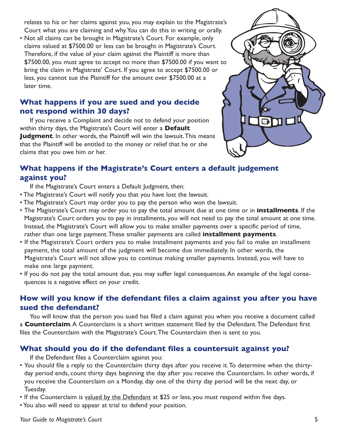relates to his or her claims against you, you may explain to the Magistrate's Court what you are claiming and why.You can do this in writing or orally.

• Not all claims can be brought in Magistrate's Court. For example, only claims valued at \$7500.00 or less can be brought in Magistrate's Court. Therefore, if the value of your claim against the Plaintiff is more than \$7500.00, you must agree to accept no more than \$7500.00 if you want to bring the claim in Magistrate' Court. If you agree to accept \$7500.00 or less, you cannot sue the Plaintiff for the amount over \$7500.00 at a later time.

## **What happens if you are sued and you decide not respond within 30 days?**

If you receive a Complaint and decide not to defend your position within thirty days, the Magistrate's Court will enter a **Default Judgment**. In other words, the Plaintiff will win the lawsuit.This means that the Plaintiff will be entitled to the money or relief that he or she claims that you owe him or her.



## **What happens if the Magistrate's Court enters a default judgement against you?**

If the Magistrate's Court enters a Default Judgment, then:

- The Magistrate's Court will notify you that you have lost the lawsuit.
- The Magistrate's Court may order you to pay the person who won the lawsuit.
- The Magistrate's Court may order you to pay the total amount due at one time or in **installments**. If the Magistrate's Court orders you to pay in installments, you will not need to pay the total amount at one time. Instead, the Magistrate's Court will allow you to make smaller payments over a specific period of time, rather than one large payment.These smaller payments are called **installment payments**.
- If the Magistrate's Court orders you to make installment payments and you fail to make an installment payment, the total amount of the judgment will become due immediately. In other words, the Magistrate's Court will not allow you to continue making smaller payments. Instead, you will have to make one large payment.
- If you do not pay the total amount due, you may suffer legal consequences.An example of the legal consequences is a negative effect on your credit.

## **How will you know if the defendant files a claim against you after you have sued the defendant?**

You will know that the person you sued has filed a claim against you when you receive a document called a **Counterclaim**.A Counterclaim is a short written statement filed by the Defendant.The Defendant first files the Counterclaim with the Magistrate's Court.The Counterclaim then is sent to you.

## **What should you do if the defendant files a countersuit against you?**

If the Defendant files a Counterclaim against you:

- You should file a reply to the Counterclaim thirty days after you receive it.To determine when the thirtyday period ends, count thirty days beginning the day after you receive the Counterclaim. In other words, if you receive the Counterclaim on a Monday, day one of the thirty day period will be the next day, or Tuesday.
- If the Counterclaim is valued by the Defendant at \$25 or less, you must respond within five days.
- You also will need to appear at trial to defend your position.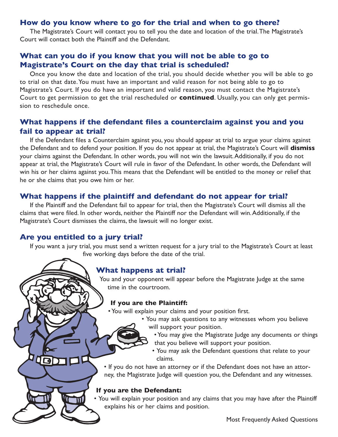#### **How do you know where to go for the trial and when to go there?**

The Magistrate's Court will contact you to tell you the date and location of the trial.The Magistrate's Court will contact both the Plaintiff and the Defendant.

### **What can you do if you know that you will not be able to go to Magistrate's Court on the day that trial is scheduled?**

Once you know the date and location of the trial, you should decide whether you will be able to go to trial on that date.You must have an important and valid reason for not being able to go to Magistrate's Court. If you do have an important and valid reason, you must contact the Magistrate's Court to get permission to get the trial rescheduled or **continued**. Usually, you can only get permission to reschedule once.

### **What happens if the defendant files a counterclaim against you and you fail to appear at trial?**

If the Defendant files a Counterclaim against you, you should appear at trial to argue your claims against the Defendant and to defend your position. If you do not appear at trial, the Magistrate's Court will **dismiss** your claims against the Defendant. In other words, you will not win the lawsuit.Additionally, if you do not appear at trial, the Magistrate's Court will rule in favor of the Defendant. In other words, the Defendant will win his or her claims against you.This means that the Defendant will be entitled to the money or relief that he or she claims that you owe him or her.

### **What happens if the plaintiff and defendant do not appear for trial?**

If the Plaintiff and the Defendant fail to appear for trial, then the Magistrate's Court will dismiss all the claims that were filed. In other words, neither the Plaintiff nor the Defendant will win.Additionally, if the Magistrate's Court dismisses the claims, the lawsuit will no longer exist.

### **Are you entitled to a jury trial?**

Dda

If you want a jury trial, you must send a written request for a jury trial to the Magistrate's Court at least five working days before the date of the trial.

### **What happens at trial?**

You and your opponent will appear before the Magistrate Judge at the same time in the courtroom.

#### **If you are the Plaintiff:**

• You will explain your claims and your position first.

- You may ask questions to any witnesses whom you believe will support your position.
	- You may give the Magistrate Judge any documents or things that you believe will support your position.
	- You may ask the Defendant questions that relate to your claims.

• If you do not have an attorney or if the Defendant does not have an attorney, the Magistrate Judge will question you, the Defendant and any witnesses.

#### **If you are the Defendant:**

• You will explain your position and any claims that you may have after the Plaintiff explains his or her claims and position.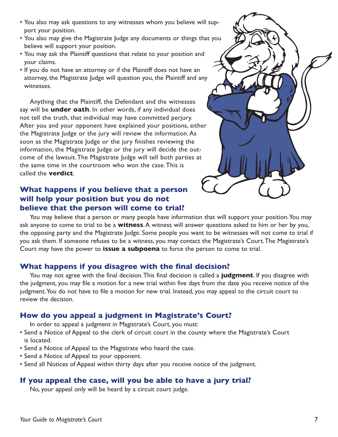- You also may ask questions to any witnesses whom you believe will support your position.
- You also may give the Magistrate Judge any documents or things that you believe will support your position.
- You may ask the Plaintiff questions that relate to your position and your claims.
- If you do not have an attorney or if the Plaintiff does not have an attorney, the Magistrate Judge will question you, the Plaintiff and any witnesses.

Anything that the Plaintiff, the Defendant and the witnesses say will be **under oath**. In other words, if any individual does not tell the truth, that individual may have committed perjury. After you and your opponent have explained your positions, either the Magistrate Judge or the jury will review the information.As soon as the Magistrate Judge or the jury finishes reviewing the information, the Magistrate Judge or the jury will decide the outcome of the lawsuit.The Magistrate Judge will tell both parties at the same time in the courtroom who won the case.This is called the **verdict**.

## **What happens if you believe that a person will help your position but you do not believe that the person will come to trial?**



You may believe that a person or many people have information that will support your position. You may ask anyone to come to trial to be a **witness**.A witness will answer questions asked to him or her by you, the opposing party and the Magistrate Judge. Some people you want to be witnesses will not come to trial if you ask them. If someone refuses to be a witness, you may contact the Magistrate's Court.The Magistrate's Court may have the power to **issue a subpoena** to force the person to come to trial.

## **What happens if you disagree with the final decision?**

You may not agree with the final decision.This final decision is called a **judgment**. If you disagree with the judgment, you may file a motion for a new trial within five days from the date you receive notice of the judgment.You do not have to file a motion for new trial. Instead, you may appeal to the circuit court to review the decision.

## **How do you appeal a judgment in Magistrate's Court?**

In order to appeal a judgment in Magistrate's Court, you must:

- Send a Notice of Appeal to the clerk of circuit court in the county where the Magistrate's Court is located.
- Send a Notice of Appeal to the Magistrate who heard the case.
- Send a Notice of Appeal to your opponent.
- Send all Notices of Appeal within thirty days after you receive notice of the judgment.

## **If you appeal the case, will you be able to have a jury trial?**

No, your appeal only will be heard by a circuit court judge.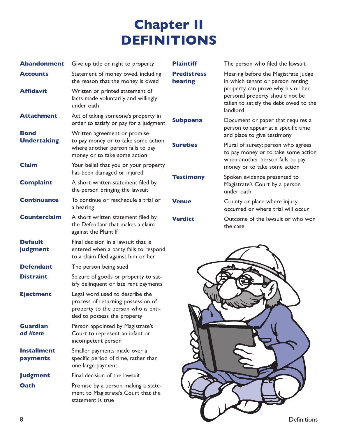# **Chapter II DEFINITIONS**

| <b>Abandonment</b>                | Give up title or right to property                                                                                                           | <b>Plaintiff</b>              | The person who filed the lawsuit                                                                                          |
|-----------------------------------|----------------------------------------------------------------------------------------------------------------------------------------------|-------------------------------|---------------------------------------------------------------------------------------------------------------------------|
| <b>Accounts</b>                   | Statement of money owed, including<br>the reason that the money is owed                                                                      | <b>Predistress</b><br>hearing | Hearing before the Magistrate Judge<br>in which tenant or person renting                                                  |
| <b>Affidavit</b>                  | Written or printed statement of<br>facts made voluntarily and willingly<br>under oath                                                        |                               | property can prove why his or her<br>personal property should not be<br>taken to satisfy the debt owed to the<br>landlord |
| <b>Attachment</b>                 | Act of taking someone's property in<br>order to satisfy or pay for a judgment                                                                | <b>Subpoena</b>               | Document or paper that requires a<br>person to appear at a specific time                                                  |
| <b>Bond</b><br><b>Undertaking</b> | Written agreement or promise<br>to pay money or to take some action<br>where another person fails to pay<br>money or to take some action     | <b>Sureties</b>               | and place to give testimony<br>Plural of surety; person who agrees<br>to pay money or to take some action                 |
| <b>Claim</b>                      | Your belief that you or your property<br>has been damaged or injured                                                                         |                               | when another person fails to pay<br>money or to take some action                                                          |
| <b>Complaint</b>                  | A short written statement filed by<br>the person bringing the lawsuit                                                                        | <b>Testimony</b>              | Spoken evidence presented to<br>Magistrate's Court by a person<br>under oath                                              |
| <b>Continuance</b>                | To continue or reschedule a trial or<br>a hearing                                                                                            | <b>Venue</b>                  | County or place where injury<br>occurred or where trial will occur                                                        |
| <b>Counterclaim</b>               | A short written statement filed by<br>the Defendant that makes a claim<br>against the Plaintiff                                              | <b>Verdict</b>                | Outcome of the lawsuit or who won<br>the case                                                                             |
| <b>Default</b><br>judgment        | Final decision in a lawsuit that is<br>entered when a party fails to respond<br>to a claim filed against him or her                          |                               |                                                                                                                           |
| <b>Defendant</b>                  | The person being sued                                                                                                                        |                               |                                                                                                                           |
| <b>Distraint</b>                  | Seizure of goods or property to sat-<br>isfy delinquent or late rent payments                                                                |                               |                                                                                                                           |
| <b>Ejectment</b>                  | Legal word used to describe the<br>process of returning possession of<br>property to the person who is enti-<br>tled to possess the property |                               |                                                                                                                           |
| <b>Guardian</b><br>ad litem       | Person appointed by Magistrate's<br>Court to represent an infant or<br>incompetent person                                                    |                               |                                                                                                                           |
| <b>Installment</b><br>payments    | Smaller payments made over a<br>specific period of time, rather than<br>one large payment                                                    |                               |                                                                                                                           |
| <b>Judgment</b>                   | Final decision of the lawsuit                                                                                                                |                               |                                                                                                                           |
| Oath                              | Promise by a person making a state-<br>ment to Magistrate's Court that the<br>statement is true                                              |                               |                                                                                                                           |
|                                   |                                                                                                                                              |                               |                                                                                                                           |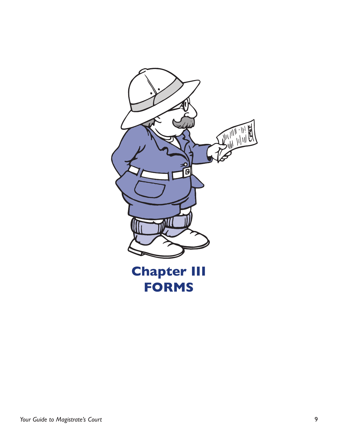

*Your Guide to Magistrate's Court* 9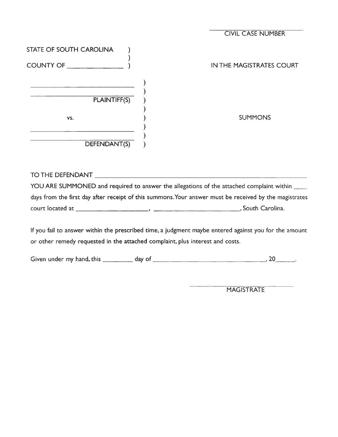|                         | <b>CIVIL CASE NUMBER</b> |
|-------------------------|--------------------------|
| STATE OF SOUTH CAROLINA |                          |
| COUNTY OF               | IN THE MAGISTRATES COURT |
|                         |                          |
| PLAINTIFF(S)            |                          |
| VS.                     | <b>SUMMONS</b>           |
|                         |                          |
| DEFENDANT(S)            |                          |

## 

YOU ARE SUMMONED and required to answer the allegations of the attached complaint within \_\_\_\_\_ days from the first day after receipt of this summons. Your answer must be received by the magistrates 

If you fail to answer within the prescribed time, a judgment maybe entered against you for the amount or other remedy requested in the attached complaint, plus interest and costs.

MAGISTRATE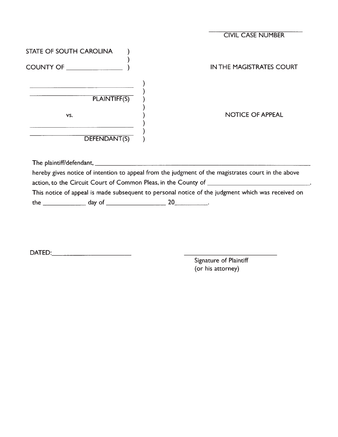|                                                                                                                             | <b>CIVIL CASE NUMBER</b>                                                                           |
|-----------------------------------------------------------------------------------------------------------------------------|----------------------------------------------------------------------------------------------------|
| STATE OF SOUTH CAROLINA                                                                                                     |                                                                                                    |
|                                                                                                                             | IN THE MAGISTRATES COURT                                                                           |
| $\begin{array}{c c} \hline \rule{0mm}{2.2mm} & & \end{array}$                                                               |                                                                                                    |
| VS.<br><u> 1989 - Jan James James James James James James James James James James James James James James James James J</u> | <b>NOTICE OF APPEAL</b>                                                                            |
| DEFENDANT(S)                                                                                                                |                                                                                                    |
|                                                                                                                             |                                                                                                    |
|                                                                                                                             | hereby gives notice of intention to appeal from the judgment of the magistrates court in the above |
|                                                                                                                             | This notice of appeal is made subsequent to personal notice of the judgment which was received on  |
|                                                                                                                             | the $\frac{1}{20}$ day of $\frac{1}{20}$                                                           |

Signature of Plaintiff (or his attorney)

L.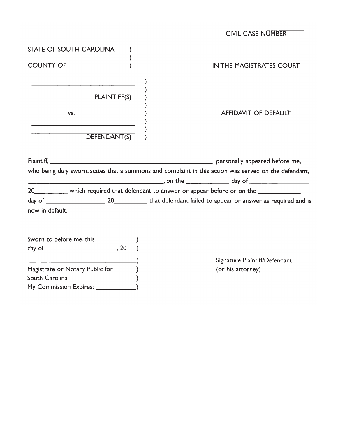|                                                                                                                                                                                                                                                      | <b>CIVIL CASE NUMBER</b>                                                                              |
|------------------------------------------------------------------------------------------------------------------------------------------------------------------------------------------------------------------------------------------------------|-------------------------------------------------------------------------------------------------------|
| STATE OF SOUTH CAROLINA                                                                                                                                                                                                                              |                                                                                                       |
| COUNTY OF ______________                                                                                                                                                                                                                             | <b>IN THE MAGISTRATES COURT</b>                                                                       |
| <u> Andreas Andreas Andreas Andreas Andreas Andreas Andreas Andreas Andreas Andreas Andreas Andreas Andreas Andreas Andreas Andreas Andreas Andreas Andreas Andreas Andreas Andreas Andreas Andreas Andreas Andreas Andreas Andr</u><br>PLAINTIFF(S) |                                                                                                       |
| VS.<br><u>a serie de la construcción de la construcción de la construcción de la construcción de la construcción de la c</u>                                                                                                                         | AFFIDAVIT OF DEFAULT                                                                                  |
| DEFENDANT(S)                                                                                                                                                                                                                                         |                                                                                                       |
|                                                                                                                                                                                                                                                      | Plaintiff, 1990 personally appeared before me,                                                        |
|                                                                                                                                                                                                                                                      | who being duly sworn, states that a summons and complaint in this action was served on the defendant, |
|                                                                                                                                                                                                                                                      | 20____________ which required that defendant to answer or appear before or on the ______________      |
| now in default.                                                                                                                                                                                                                                      |                                                                                                       |
|                                                                                                                                                                                                                                                      |                                                                                                       |
|                                                                                                                                                                                                                                                      | Signature Plaintiff/Defendant                                                                         |
| Magistrate or Notary Public for                                                                                                                                                                                                                      | (or his attorney)                                                                                     |
| South Carolina                                                                                                                                                                                                                                       |                                                                                                       |
|                                                                                                                                                                                                                                                      |                                                                                                       |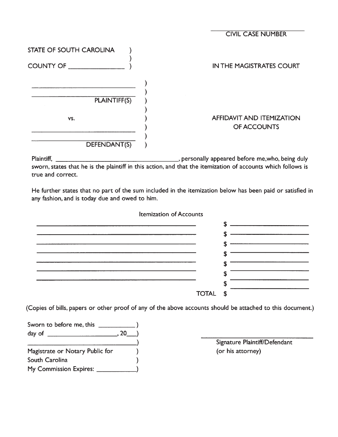|                         | <b>CIVIL CASE NUMBER</b>                        |
|-------------------------|-------------------------------------------------|
| STATE OF SOUTH CAROLINA |                                                 |
| COUNTY OF               | IN THE MAGISTRATES COURT                        |
|                         |                                                 |
| PLAINTIFF(S)            |                                                 |
| VS.                     | <b>AFFIDAVIT AND ITEMIZATION</b><br>OF ACCOUNTS |
| DEFENDANT(S)            |                                                 |

Dersonally appeared before me, who, being duly Plaintiff, sworn, states that he is the plaintiff in this action, and that the itemization of accounts which follows is true and correct.

He further states that no part of the sum included in the itemization below has been paid or satisfied in any fashion, and is today due and owed to him.

 $\mathbf{r}$  ,  $\mathbf{r}$  ,  $\mathbf{r}$  ,  $\mathbf{r}$  ,  $\mathbf{r}$ 

 $\mathbf{r}$ 

| <b>Itemization of Accounts</b> |   |
|--------------------------------|---|
|                                | œ |
|                                |   |
|                                |   |
|                                |   |
|                                |   |
|                                |   |
|                                |   |
|                                |   |
| <b>TOTAL</b>                   | œ |

(Copies of bills, papers or other proof of any of the above accounts should be attached to this document.)

| Sworn to before me, this        |      |  |
|---------------------------------|------|--|
| day of $\qquad$                 | . 20 |  |
|                                 |      |  |
| Magistrate or Notary Public for |      |  |
| South Carolina                  |      |  |
| My Commission Expires:          |      |  |

Signature Plaintiff/Defendant (or his attorney)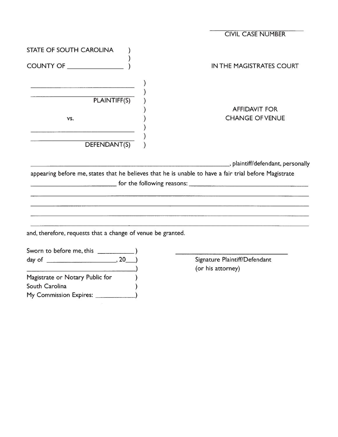|                                                                                                                      | <b>CIVIL CASE NUMBER</b>                                                                              |
|----------------------------------------------------------------------------------------------------------------------|-------------------------------------------------------------------------------------------------------|
| STATE OF SOUTH CAROLINA                                                                                              |                                                                                                       |
| COUNTY OF THE COUNTY OF                                                                                              | <b>IN THE MAGISTRATES COURT</b>                                                                       |
|                                                                                                                      |                                                                                                       |
|                                                                                                                      |                                                                                                       |
| PLAINTIFF(S)                                                                                                         |                                                                                                       |
|                                                                                                                      | <b>AFFIDAVIT FOR</b>                                                                                  |
| VS.                                                                                                                  | <b>CHANGE OF VENUE</b>                                                                                |
| <u> 1980 - Johann John Stone, mars eta bat eta bat eta bat eta bat eta bat eta bat eta bat eta bat eta bat eta b</u> |                                                                                                       |
| DEFENDANT(S)                                                                                                         |                                                                                                       |
|                                                                                                                      |                                                                                                       |
|                                                                                                                      | ___________, plaintiff/defendant, personally                                                          |
|                                                                                                                      | appearing before me, states that he believes that he is unable to have a fair trial before Magistrate |
|                                                                                                                      |                                                                                                       |
|                                                                                                                      | <u> 1980 - Andrea Andrew Maria (h. 1980).</u>                                                         |
|                                                                                                                      |                                                                                                       |
|                                                                                                                      |                                                                                                       |
|                                                                                                                      |                                                                                                       |
| and, therefore, requests that a change of venue be granted.                                                          |                                                                                                       |
|                                                                                                                      |                                                                                                       |
|                                                                                                                      |                                                                                                       |
|                                                                                                                      | Signature Plaintiff/Defendant                                                                         |
|                                                                                                                      | (or his attorney)                                                                                     |
| Magistrate or Notary Public for                                                                                      |                                                                                                       |
| South Carolina                                                                                                       |                                                                                                       |

 $\overline{\phantom{0}}$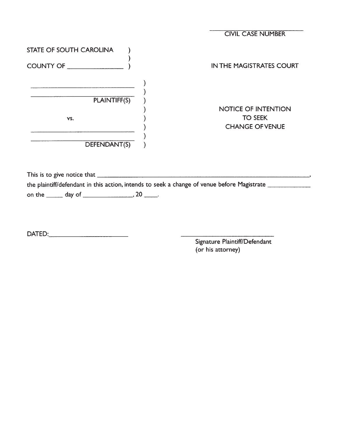|                         | <b>CIVIL CASE NUMBER</b> |
|-------------------------|--------------------------|
| STATE OF SOUTH CAROLINA |                          |
| COUNTY OF _______       | IN THE MAGISTRATES COURT |
|                         |                          |
| <b>PLAINTIFF(S)</b>     |                          |
|                         | NOTICE OF INTENTION      |
| VS.                     | <b>TO SEEK</b>           |
|                         | <b>CHANGE OF VENUE</b>   |
|                         |                          |
| DEFENDANT(S)            |                          |

the plaintiff/defendant in this action, intends to seek a change of venue before Magistrate 

Signature Plaintiff/Defendant (or his attorney)

 $\overline{\phantom{a}}$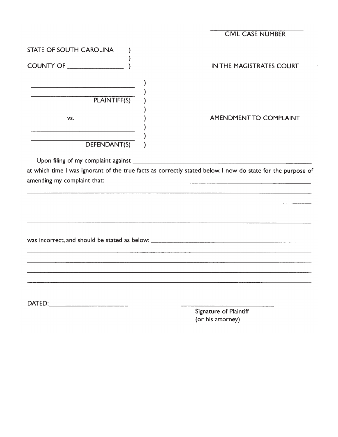|                                                       | <b>CIVIL CASE NUMBER</b>                                                                                        |
|-------------------------------------------------------|-----------------------------------------------------------------------------------------------------------------|
| STATE OF SOUTH CAROLINA<br>COUNTY OF <b>COUNTY OF</b> | <b>IN THE MAGISTRATES COURT</b>                                                                                 |
| PLAINTIFF(S)<br>VS.                                   | <b>AMENDMENT TO COMPLAINT</b>                                                                                   |
| DEFENDANT(S)                                          | at which time I was ignorant of the true facts as correctly stated below, I now do state for the purpose of     |
|                                                       | <u> 1989 - Jan Barat de Carlos III (m. 1989)</u>                                                                |
|                                                       |                                                                                                                 |
| DATED: ____________________________                   | the second contract of the second contract of the second second contract of the second second second and second |

Signature of Plaintiff<br>(or his attorney)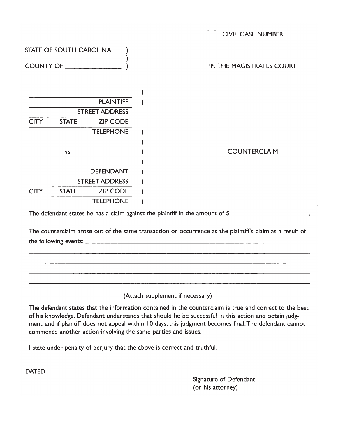|                  |                                |                       | <b>CIVIL CASE NUMBER</b> |  |
|------------------|--------------------------------|-----------------------|--------------------------|--|
|                  | <b>STATE OF SOUTH CAROLINA</b> |                       |                          |  |
| <b>COUNTY OF</b> |                                |                       | IN THE MAGISTRATES COURT |  |
|                  |                                |                       |                          |  |
|                  |                                | <b>PLAINTIFF</b>      |                          |  |
|                  |                                | <b>STREET ADDRESS</b> |                          |  |
| <b>CITY</b>      | <b>STATE</b>                   | <b>ZIP CODE</b>       |                          |  |
|                  |                                | <b>TELEPHONE</b>      |                          |  |
|                  |                                |                       |                          |  |
|                  | VS.                            |                       | <b>COUNTERCLAIM</b>      |  |
|                  |                                |                       |                          |  |
|                  |                                | <b>DEFENDANT</b>      |                          |  |
|                  |                                | <b>STREET ADDRESS</b> |                          |  |
| <b>CITY</b>      | <b>STATE</b>                   | <b>ZIP CODE</b>       |                          |  |
|                  |                                | <b>TELEPHONE</b>      |                          |  |
|                  |                                |                       |                          |  |

The defendant states he has a claim against the plaintiff in the amount of \$

The counterclaim arose out of the same transaction or occurrence as the plaintiff's claim as a result of 

(Attach supplement if necessary)

The defendant states that the information contained in the counterclaim is true and correct to the best of his knowledge. Defendant understands that should he be successful in this action and obtain judgment, and if plaintiff does not appeal within 10 days, this judgment becomes final. The defendant cannot commence another action involving the same parties and issues.

I state under penalty of perjury that the above is correct and truthful.

Signature of Defendant (or his attorney)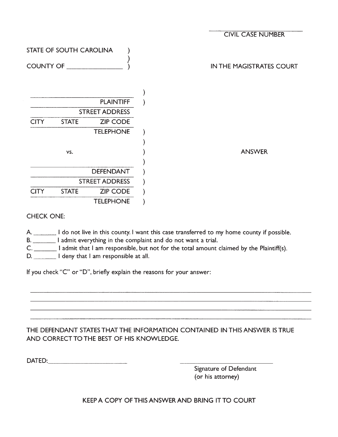|                  |                         |                       | <b>CIVIL CASE NUMBER</b> |
|------------------|-------------------------|-----------------------|--------------------------|
|                  | STATE OF SOUTH CAROLINA |                       |                          |
| <b>COUNTY OF</b> |                         |                       | IN THE MAGISTRATES COURT |
|                  |                         |                       |                          |
|                  |                         | <b>PLAINTIFF</b>      |                          |
|                  |                         | <b>STREET ADDRESS</b> |                          |
| <b>CITY</b>      | <b>STATE</b>            | <b>ZIP CODE</b>       |                          |
|                  |                         | <b>TELEPHONE</b>      |                          |
|                  |                         |                       |                          |
|                  | VS.                     |                       | <b>ANSWER</b>            |
|                  |                         |                       |                          |
|                  |                         | <b>DEFENDANT</b>      |                          |
|                  |                         | <b>STREET ADDRESS</b> |                          |
| <b>CITY</b>      | <b>STATE</b>            | <b>ZIP CODE</b>       |                          |
|                  |                         | <b>TELEPHONE</b>      |                          |

#### **CHECK ONE:**

A. I do not live in this county. I want this case transferred to my home county if possible.

B. I admit everything in the complaint and do not want a trial.

D. \_\_\_\_\_\_\_\_\_ I deny that I am responsible at all.

If you check "C" or "D", briefly explain the reasons for your answer:

### THE DEFENDANT STATES THAT THE INFORMATION CONTAINED IN THIS ANSWER IS TRUE AND CORRECT TO THE BEST OF HIS KNOWLEDGE.

**DATED: CONTRACTED: CONTRACTED:** 

Signature of Defendant (or his attorney)

KEEP A COPY OF THIS ANSWER AND BRING IT TO COURT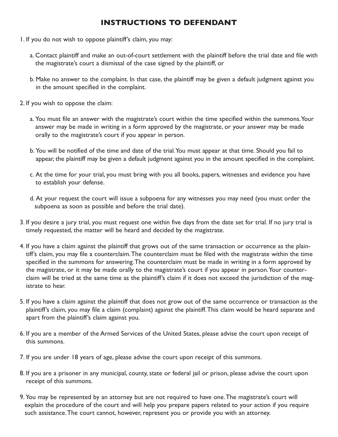## **INSTRUCTIONS TO DEFENDANT**

- 1. If you do not wish to oppose plaintiff's claim, you may:
	- a. Contact plaintiff and make an out-of-court settlement with the plaintiff before the trial date and file with the magistrate's court a dismissal of the case signed by the plaintiff, or
	- b. Make no answer to the complaint. In that case, the plaintiff may be given a default judgment against you in the amount specified in the complaint.
- 2. If you wish to oppose the claim:
	- a. You must file an answer with the magistrate's court within the time specified within the summons.Your answer may be made in writing in a form approved by the magistrate, or your answer may be made orally to the magistrate's court if you appear in person.
	- b. You will be notified of the time and date of the trial.You must appear at that time. Should you fail to appear, the plaintiff may be given a default judgment against you in the amount specified in the complaint.
	- c. At the time for your trial, you must bring with you all books, papers, witnesses and evidence you have to establish your defense.
	- d. At your request the court will issue a subpoena for any witnesses you may need (you must order the subpoena as soon as possible and before the trial date).
- 3. If you desire a jury trial, you must request one within five days from the date set for trial. If no jury trial is timely requested, the matter will be heard and decided by the magistrate.
- 4. If you have a claim against the plaintiff that grows out of the same transaction or occurrence as the plaintiff's claim, you may file a counterclaim.The counterclaim must be filed with the magistrate within the time specified in the summons for answering.The counterclaim must be made in writing in a form approved by the magistrate, or it may be made orally to the magistrate's court if you appear in person. Your counterclaim will be tried at the same time as the plaintiff's claim if it does not exceed the jurisdiction of the magistrate to hear.
- 5. If you have a claim against the plaintiff that does not grow out of the same occurrence or transaction as the plaintiff's claim, you may file a claim (complaint) against the plaintiff.This claim would be heard separate and apart from the plaintiff's claim against you.
- 6. If you are a member of the Armed Services of the United States, please advise the court upon receipt of this summons.
- 7. If you are under 18 years of age, please advise the court upon receipt of this summons.
- 8. If you are a prisoner in any municipal, county, state or federal jail or prison, please advise the court upon receipt of this summons.
- 9. You may be represented by an attorney but are not required to have one.The magistrate's court will explain the procedure of the court and will help you prepare papers related to your action if you require such assistance.The court cannot, however, represent you or provide you with an attorney.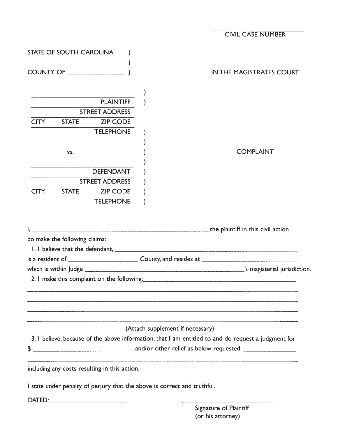|             |                                        |                                               | <b>CIVIL CASE NUMBER</b>                                                                            |
|-------------|----------------------------------------|-----------------------------------------------|-----------------------------------------------------------------------------------------------------|
|             | STATE OF SOUTH CAROLINA                |                                               |                                                                                                     |
|             |                                        |                                               |                                                                                                     |
|             |                                        | COUNTY OF                                     | IN THE MAGISTRATES COURT                                                                            |
|             |                                        |                                               |                                                                                                     |
|             |                                        | <b>PLAINTIFF</b>                              |                                                                                                     |
|             |                                        | <b>STREET ADDRESS</b>                         |                                                                                                     |
| <b>CITY</b> | <b>STATE</b>                           | <b>ZIP CODE</b>                               |                                                                                                     |
|             |                                        | <b>TELEPHONE</b>                              |                                                                                                     |
|             |                                        |                                               |                                                                                                     |
|             |                                        |                                               |                                                                                                     |
|             | VS.                                    |                                               | <b>COMPLAINT</b>                                                                                    |
|             | <u> 2002 - Jan Alexander (f. 1918)</u> |                                               |                                                                                                     |
|             |                                        | <b>DEFENDANT</b>                              |                                                                                                     |
|             |                                        | <b>STREET ADDRESS</b>                         |                                                                                                     |
|             |                                        | CITY STATE ZIP CODE                           |                                                                                                     |
|             |                                        | <b>TELEPHONE</b>                              |                                                                                                     |
|             |                                        |                                               |                                                                                                     |
|             |                                        |                                               |                                                                                                     |
|             |                                        |                                               | the plaintiff in this civil action and the plaintiff in this civil action                           |
|             | do make the following claims:          |                                               |                                                                                                     |
|             |                                        |                                               |                                                                                                     |
|             |                                        |                                               |                                                                                                     |
|             |                                        |                                               |                                                                                                     |
|             |                                        |                                               |                                                                                                     |
|             |                                        |                                               |                                                                                                     |
|             |                                        |                                               |                                                                                                     |
|             |                                        |                                               |                                                                                                     |
|             |                                        |                                               |                                                                                                     |
|             |                                        |                                               | (Attach supplement if necessary)                                                                    |
|             |                                        |                                               | 3. I believe, because of the above information, that I am entitled to and do request a judgment for |
| \$          |                                        |                                               |                                                                                                     |
|             |                                        |                                               |                                                                                                     |
|             |                                        |                                               |                                                                                                     |
|             |                                        | including any costs resulting in this action. |                                                                                                     |
|             |                                        |                                               | I state under penalty of perjury that the above is correct and truthful.                            |
|             |                                        |                                               |                                                                                                     |
|             |                                        |                                               |                                                                                                     |
|             |                                        |                                               | Signature of Plaintiff<br>(or his attorney)                                                         |
|             |                                        |                                               |                                                                                                     |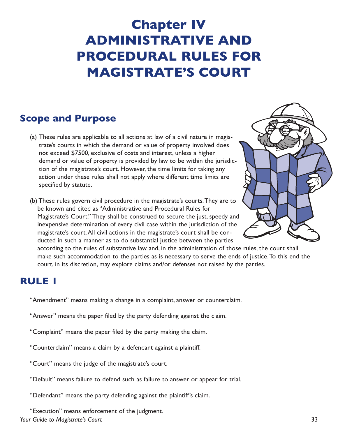# **Chapter IV ADMINISTRATIVE AND PROCEDURAL RULES FOR MAGISTRATE'S COURT**

# **Scope and Purpose**

(a) These rules are applicable to all actions at law of a civil nature in magistrate's courts in which the demand or value of property involved does not exceed \$7500, exclusive of costs and interest, unless a higher demand or value of property is provided by law to be within the jurisdiction of the magistrate's court. However, the time limits for taking any action under these rules shall not apply where different time limits are specified by statute.

(b) These rules govern civil procedure in the magistrate's courts.They are to be known and cited as "Administrative and Procedural Rules for Magistrate's Court." They shall be construed to secure the just, speedy and inexpensive determination of every civil case within the jurisdiction of the magistrate's court.All civil actions in the magistrate's court shall be conducted in such a manner as to do substantial justice between the parties



according to the rules of substantive law and, in the administration of those rules, the court shall make such accommodation to the parties as is necessary to serve the ends of justice.To this end the court, in its discretion, may explore claims and/or defenses not raised by the parties.

## **RULE 1**

"Amendment" means making a change in a complaint, answer or counterclaim.

"Answer" means the paper filed by the party defending against the claim.

"Complaint" means the paper filed by the party making the claim.

"Counterclaim" means a claim by a defendant against a plaintiff.

"Court" means the judge of the magistrate's court.

"Default" means failure to defend such as failure to answer or appear for trial.

"Defendant" means the party defending against the plaintiff's claim.

*Your Guide to Magistrate's Court* 33 "Execution" means enforcement of the judgment.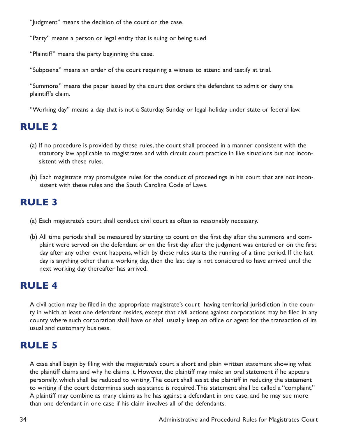"Judgment" means the decision of the court on the case.

"Party" means a person or legal entity that is suing or being sued.

"Plaintiff" means the party beginning the case.

"Subpoena" means an order of the court requiring a witness to attend and testify at trial.

"Summons" means the paper issued by the court that orders the defendant to admit or deny the plaintiff's claim.

"Working day" means a day that is not a Saturday, Sunday or legal holiday under state or federal law.

# **RULE 2**

- (a) If no procedure is provided by these rules, the court shall proceed in a manner consistent with the statutory law applicable to magistrates and with circuit court practice in like situations but not inconsistent with these rules.
- (b) Each magistrate may promulgate rules for the conduct of proceedings in his court that are not inconsistent with these rules and the South Carolina Code of Laws.

# **RULE 3**

- (a) Each magistrate's court shall conduct civil court as often as reasonably necessary.
- (b) All time periods shall be measured by starting to count on the first day after the summons and complaint were served on the defendant or on the first day after the judgment was entered or on the first day after any other event happens, which by these rules starts the running of a time period. If the last day is anything other than a working day, then the last day is not considered to have arrived until the next working day thereafter has arrived.

# **RULE 4**

A civil action may be filed in the appropriate magistrate's court having territorial jurisdiction in the county in which at least one defendant resides, except that civil actions against corporations may be filed in any county where such corporation shall have or shall usually keep an office or agent for the transaction of its usual and customary business.

## **RULE 5**

A case shall begin by filing with the magistrate's court a short and plain written statement showing what the plaintiff claims and why he claims it. However, the plaintiff may make an oral statement if he appears personally, which shall be reduced to writing.The court shall assist the plaintiff in reducing the statement to writing if the court determines such assistance is required.This statement shall be called a "complaint." A plaintiff may combine as many claims as he has against a defendant in one case, and he may sue more than one defendant in one case if his claim involves all of the defendants.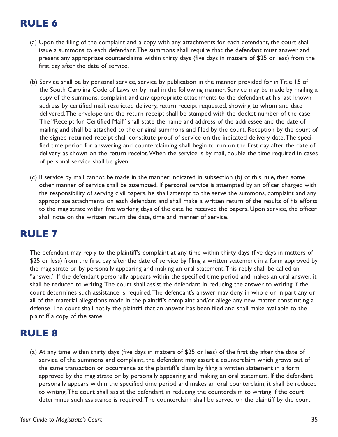# **RULE 6**

- (a) Upon the filing of the complaint and a copy with any attachments for each defendant, the court shall issue a summons to each defendant.The summons shall require that the defendant must answer and present any appropriate counterclaims within thirty days (five days in matters of \$25 or less) from the first day after the date of service.
- (b) Service shall be by personal service, service by publication in the manner provided for in Title 15 of the South Carolina Code of Laws or by mail in the following manner. Service may be made by mailing a copy of the summons, complaint and any appropriate attachments to the defendant at his last known address by certified mail, restricted delivery, return receipt requested, showing to whom and date delivered.The envelope and the return receipt shall be stamped with the docket number of the case. The "Receipt for Certified Mail" shall state the name and address of the addressee and the date of mailing and shall be attached to the original summons and filed by the court. Reception by the court of the signed returned receipt shall constitute proof of service on the indicated delivery date.The specified time period for answering and counterclaiming shall begin to run on the first day after the date of delivery as shown on the return receipt.When the service is by mail, double the time required in cases of personal service shall be given.
- (c) If service by mail cannot be made in the manner indicated in subsection (b) of this rule, then some other manner of service shall be attempted. If personal service is attempted by an officer charged with the responsibility of serving civil papers, he shall attempt to the serve the summons, complaint and any appropriate attachments on each defendant and shall make a written return of the results of his efforts to the magistrate within five working days of the date he received the papers. Upon service, the officer shall note on the written return the date, time and manner of service.

# **RULE 7**

The defendant may reply to the plaintiff's complaint at any time within thirty days (five days in matters of \$25 or less) from the first day after the date of service by filing a written statement in a form approved by the magistrate or by personally appearing and making an oral statement.This reply shall be called an "answer." If the defendant personally appears within the specified time period and makes an oral answer, it shall be reduced to writing.The court shall assist the defendant in reducing the answer to writing if the court determines such assistance is required.The defendant's answer may deny in whole or in part any or all of the material allegations made in the plaintiff's complaint and/or allege any new matter constituting a defense.The court shall notify the plaintiff that an answer has been filed and shall make available to the plaintiff a copy of the same.

# **RULE 8**

(a) At any time within thirty days (five days in matters of \$25 or less) of the first day after the date of service of the summons and complaint, the defendant may assert a counterclaim which grows out of the same transaction or occurrence as the plaintiff's claim by filing a written statement in a form approved by the magistrate or by personally appearing and making an oral statement. If the defendant personally appears within the specified time period and makes an oral counterclaim, it shall be reduced to writing.The court shall assist the defendant in reducing the counterclaim to writing if the court determines such assistance is required.The counterclaim shall be served on the plaintiff by the court.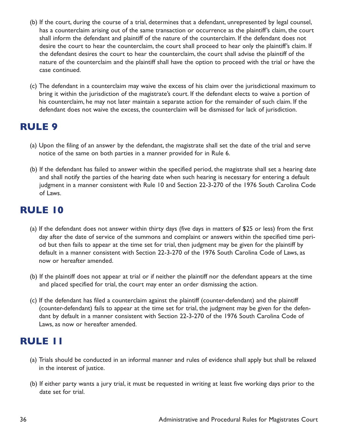- (b) If the court, during the course of a trial, determines that a defendant, unrepresented by legal counsel, has a counterclaim arising out of the same transaction or occurrence as the plaintiff's claim, the court shall inform the defendant and plaintiff of the nature of the counterclaim. If the defendant does not desire the court to hear the counterclaim, the court shall proceed to hear only the plaintiff's claim. If the defendant desires the court to hear the counterclaim, the court shall advise the plaintiff of the nature of the counterclaim and the plaintiff shall have the option to proceed with the trial or have the case continued.
- (c) The defendant in a counterclaim may waive the excess of his claim over the jurisdictional maximum to bring it within the jurisdiction of the magistrate's court. If the defendant elects to waive a portion of his counterclaim, he may not later maintain a separate action for the remainder of such claim. If the defendant does not waive the excess, the counterclaim will be dismissed for lack of jurisdiction.

# **RULE 9**

- (a) Upon the filing of an answer by the defendant, the magistrate shall set the date of the trial and serve notice of the same on both parties in a manner provided for in Rule 6.
- (b) If the defendant has failed to answer within the specified period, the magistrate shall set a hearing date and shall notify the parties of the hearing date when such hearing is necessary for entering a default judgment in a manner consistent with Rule 10 and Section 22-3-270 of the 1976 South Carolina Code of Laws.

## **RULE 10**

- (a) If the defendant does not answer within thirty days (five days in matters of \$25 or less) from the first day after the date of service of the summons and complaint or answers within the specified time period but then fails to appear at the time set for trial, then judgment may be given for the plaintiff by default in a manner consistent with Section 22-3-270 of the 1976 South Carolina Code of Laws, as now or hereafter amended.
- (b) If the plaintiff does not appear at trial or if neither the plaintiff nor the defendant appears at the time and placed specified for trial, the court may enter an order dismissing the action.
- (c) If the defendant has filed a counterclaim against the plaintiff (counter-defendant) and the plaintiff (counter-defendant) fails to appear at the time set for trial, the judgment may be given for the defendant by default in a manner consistent with Section 22-3-270 of the 1976 South Carolina Code of Laws, as now or hereafter amended.

## **RULE 11**

- (a) Trials should be conducted in an informal manner and rules of evidence shall apply but shall be relaxed in the interest of justice.
- (b) If either party wants a jury trial, it must be requested in writing at least five working days prior to the date set for trial.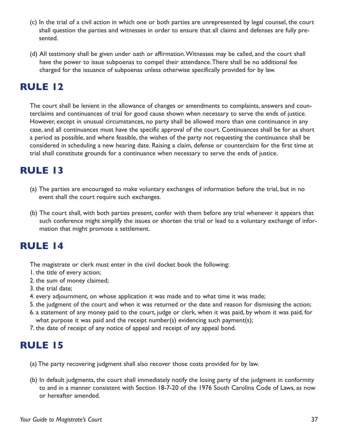- (c) In the trial of a civil action in which one or both parties are unrepresented by legal counsel, the court shall question the parties and witnesses in order to ensure that all claims and defenses are fully presented.
- (d) All testimony shall be given under oath or affirmation.Witnesses may be called, and the court shall have the power to issue subpoenas to compel their attendance.There shall be no additional fee charged for the issuance of subpoenas unless otherwise specifically provided for by law.

# **RULE 12**

The court shall be lenient in the allowance of changes or amendments to complaints, answers and counterclaims and continuances of trial for good cause shown when necessary to serve the ends of justice. However, except in unusual circumstances, no party shall be allowed more than one continuance in any case, and all continuances must have the specific approval of the court. Continuances shall be for as short a period as possible, and where feasible, the wishes of the party not requesting the continuance shall be considered in scheduling a new hearing date. Raising a claim, defense or counterclaim for the first time at trial shall constitute grounds for a continuance when necessary to serve the ends of justice.

# **RULE 13**

- (a) The parties are encouraged to make voluntary exchanges of information before the trial, but in no event shall the court require such exchanges.
- (b) The court shall, with both parties present, confer with them before any trial whenever it appears that such conference might simplify the issues or shorten the trial or lead to a voluntary exchange of information that might promote a settlement.

# **RULE 14**

The magistrate or clerk must enter in the civil docket book the following:

- 1. the title of every action;
- 2. the sum of money claimed;
- 3. the trial date;
- 4. every adjournment, on whose application it was made and to what time it was made;
- 5. the judgment of the court and when it was returned or the date and reason for dismissing the action;
- 6. a statement of any money paid to the court, judge or clerk, when it was paid, by whom it was paid, for what purpose it was paid and the receipt number(s) evidencing such payment(s);
- 7. the date of receipt of any notice of appeal and receipt of any appeal bond.

# **RULE 15**

- (a) The party recovering judgment shall also recover those costs provided for by law.
- (b) In default judgments, the court shall immediately notify the losing party of the judgment in conformity to and in a manner consistent with Section 18-7-20 of the 1976 South Carolina Code of Laws, as now or hereafter amended.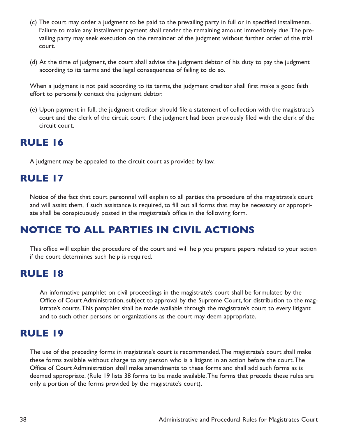- (c) The court may order a judgment to be paid to the prevailing party in full or in specified installments. Failure to make any installment payment shall render the remaining amount immediately due.The prevailing party may seek execution on the remainder of the judgment without further order of the trial court.
- (d) At the time of judgment, the court shall advise the judgment debtor of his duty to pay the judgment according to its terms and the legal consequences of failing to do so.

When a judgment is not paid according to its terms, the judgment creditor shall first make a good faith effort to personally contact the judgment debtor.

(e) Upon payment in full, the judgment creditor should file a statement of collection with the magistrate's court and the clerk of the circuit court if the judgment had been previously filed with the clerk of the circuit court.

# **RULE 16**

A judgment may be appealed to the circuit court as provided by law.

# **RULE 17**

Notice of the fact that court personnel will explain to all parties the procedure of the magistrate's court and will assist them, if such assistance is required, to fill out all forms that may be necessary or appropriate shall be conspicuously posted in the magistrate's office in the following form.

# **NOTICE TO ALL PARTIES IN CIVIL ACTIONS**

This office will explain the procedure of the court and will help you prepare papers related to your action if the court determines such help is required.

# **RULE 18**

An informative pamphlet on civil proceedings in the magistrate's court shall be formulated by the Office of Court Administration, subject to approval by the Supreme Court, for distribution to the magistrate's courts.This pamphlet shall be made available through the magistrate's court to every litigant and to such other persons or organizations as the court may deem appropriate.

# **RULE 19**

The use of the preceding forms in magistrate's court is recommended.The magistrate's court shall make these forms available without charge to any person who is a litigant in an action before the court.The Office of Court Administration shall make amendments to these forms and shall add such forms as is deemed appropriate. (Rule 19 lists 38 forms to be made available.The forms that precede these rules are only a portion of the forms provided by the magistrate's court).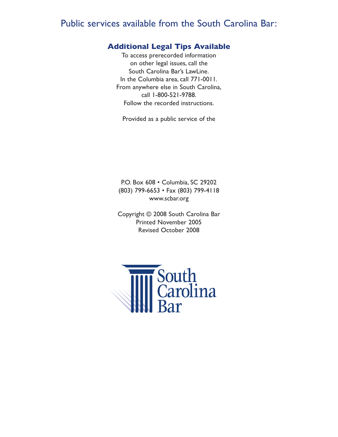## Public services available from the South Carolina Bar:

#### **Additional Legal Tips Available**

To access prerecorded information on other legal issues, call the South Carolina Bar's LawLine. In the Columbia area, call 771-0011. From anywhere else in South Carolina, call 1-800-521-9788. Follow the recorded instructions.

Provided as a public service of the

P.O. Box 608 • Columbia, SC 29202 (803) 799-6653 • Fax (803) 799-4118 www.scbar.org

Copyright © 2008 South Carolina Bar Printed November 2005 Revised October 2008